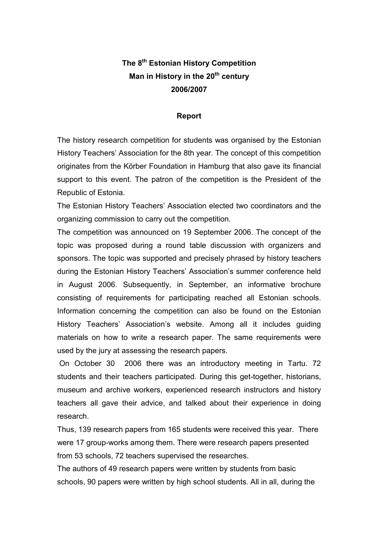# The 8<sup>th</sup> Estonian History Competition Man in History in the  $20<sup>th</sup>$  century 2006/2007

## Report

The history research competition for students was organised by the Estonian History Teachers' Association for the 8th year. The concept of this competition originates from the Körber Foundation in Hamburg that also gave its financial support to this event. The patron of the competition is the President of the Republic of Estonia.

The Estonian History Teachers' Association elected two coordinators and the organizing commission to carry out the competition.

The competition was announced on 19 September 2006. The concept of the topic was proposed during a round table discussion with organizers and sponsors. The topic was supported and precisely phrased by history teachers during the Estonian History Teachers' Association's summer conference held in August 2006. Subsequently, in September, an informative brochure consisting of requirements for participating reached all Estonian schools. Information concerning the competition can also be found on the Estonian History Teachers' Association's website. Among all it includes guiding materials on how to write a research paper. The same requirements were used by the jury at assessing the research papers.

 On October 30 2006 there was an introductory meeting in Tartu. 72 students and their teachers participated. During this get-together, historians, museum and archive workers, experienced research instructors and history teachers all gave their advice, and talked about their experience in doing research.

Thus, 139 research papers from 165 students were received this year. There were 17 group-works among them. There were research papers presented from 53 schools, 72 teachers supervised the researches.

The authors of 49 research papers were written by students from basic schools, 90 papers were written by high school students. All in all, during the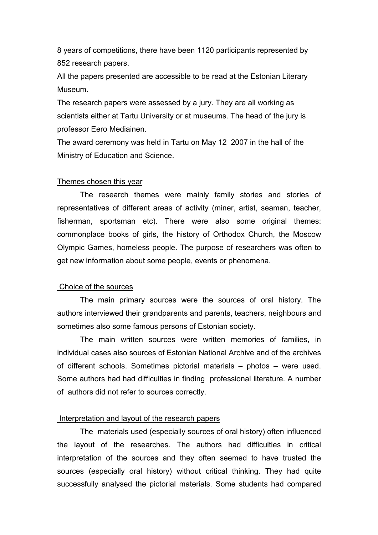8 years of competitions, there have been 1120 participants represented by 852 research papers.

All the papers presented are accessible to be read at the Estonian Literary Museum.

The research papers were assessed by a jury. They are all working as scientists either at Tartu University or at museums. The head of the jury is professor Eero Mediainen.

The award ceremony was held in Tartu on May 12 2007 in the hall of the Ministry of Education and Science.

#### Themes chosen this year

The research themes were mainly family stories and stories of representatives of different areas of activity (miner, artist, seaman, teacher, fisherman, sportsman etc). There were also some original themes: commonplace books of girls, the history of Orthodox Church, the Moscow Olympic Games, homeless people. The purpose of researchers was often to get new information about some people, events or phenomena.

#### Choice of the sources

The main primary sources were the sources of oral history. The authors interviewed their grandparents and parents, teachers, neighbours and sometimes also some famous persons of Estonian society.

The main written sources were written memories of families, in individual cases also sources of Estonian National Archive and of the archives of different schools. Sometimes pictorial materials – photos – were used. Some authors had had difficulties in finding professional literature. A number of authors did not refer to sources correctly.

### Interpretation and layout of the research papers

The materials used (especially sources of oral history) often influenced the layout of the researches. The authors had difficulties in critical interpretation of the sources and they often seemed to have trusted the sources (especially oral history) without critical thinking. They had quite successfully analysed the pictorial materials. Some students had compared